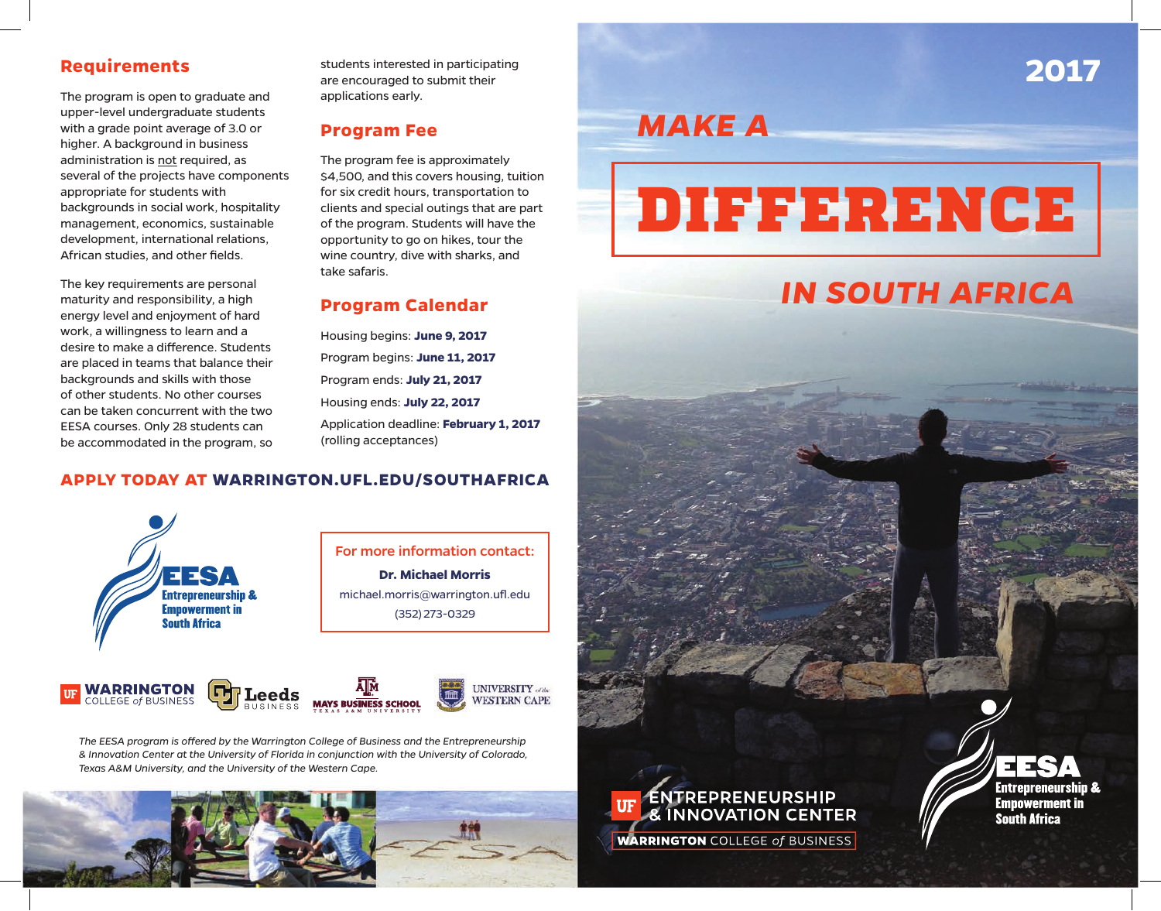The program is open to graduate and upper-level undergraduate students with a grade point average of 3.0 or higher. A background in business administration is not required, as several of the projects have components appropriate for students with backgrounds in social work, hospitality management, economics, sustainable development, international relations, African studies, and other fields.

The key requirements are personal maturity and responsibility, a high energy level and enjoyment of hard work, a willingness to learn and a desire to make a difference. Students are placed in teams that balance their backgrounds and skills with those of other students. No other courses can be taken concurrent with the two EESA courses. Only 28 students can be accommodated in the program, so

**Requirements** students interested in participating<br>are encouraged to submit their<br> **Requirements** students interested in participating are encouraged to submit their applications early.

#### **Program Fee**

The program fee is approximately \$4,500, and this covers housing, tuition for six credit hours, transportation to clients and special outings that are part of the program. Students will have the opportunity to go on hikes, tour the wine country, dive with sharks, and take safaris.

#### **Program Calendar**

Housing begins: **June 9, 2017** Program begins: **June 11, 2017** Program ends: **July 21, 2017** Housing ends: **July 22, 2017** Application deadline: **February 1, 2017** (rolling acceptances)

#### **APPLY TODAY AT WARRINGTON.UFL.EDU/SOUTHAFRICA**



*The EESA program is offered by the Warrington College of Business and the Entrepreneurship & Innovation Center at the University of Florida in conjunction with the University of Colorado, Texas A&M University, and the University of the Western Cape.*



*MAKE A*

# DIFFERENCE

## *IN SOUTH AFRICA*

FEE **Entrepreneurship &** 

**Empowerment in** 

**South Africa** 

ENTREPRENEURSHIP<br>& INNOVATION CENTER **UF WARRINGTON COLLEGE of BUSINESS**